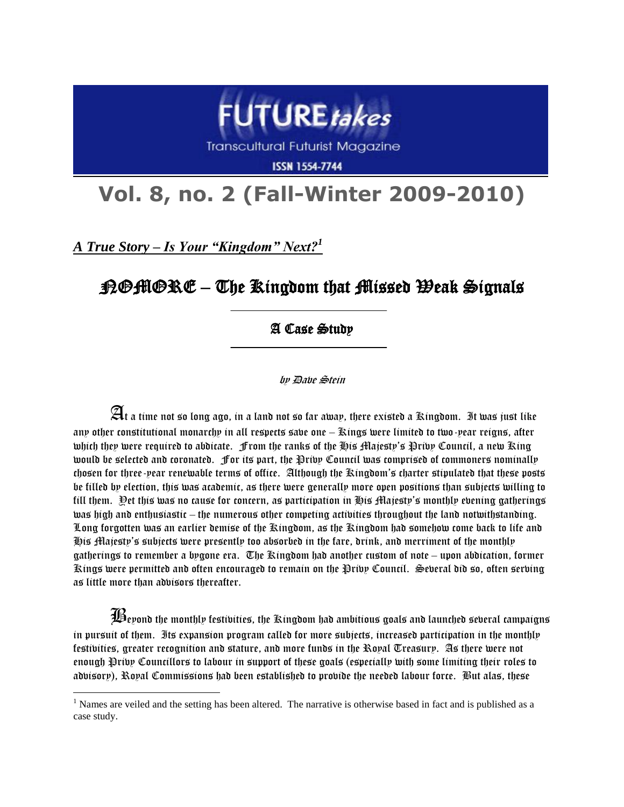

**Transcultural Futurist Magazine** 

**ISSN 1554-7744** 

## **Vol. 8, no. 2 (Fall-Winter 2009-2010)**

*A True Story – Is Your "Kingdom" Next?<sup>1</sup>*

 $\overline{a}$ 

## $\mathcal{H}\oplus\mathcal{H}\oplus\mathcal{K}\oplus\mathcal{L}$  ) The Kingdom that  $\mathcal{H}$ issed  $\mathcal{H}$ eak Signals

## $\overline{a}$ A Case Study

 $\overline{a}$ 

by Dave Stein

 $\mathfrak{A}$ t a time not so long ago, in a land not so far away, there existed a Kingdom. It was just like any other constitutional monarchy in all respects save one – Kings were limited to two-year reigns, after which they were required to abdicate. From the ranks of the His Majesty's Privy Council, a new King would be selected and coronated. For its part, the Privy Council was comprised of commoners nominally chosen for three-year renewable terms of office. Although the Kingdom's charter stipulated that these posts be filled by election, this was academic, as there were generally more open positions than subjects willing to fill them. Yet this was no cause for concern, as participation in His Majesty's monthly evening gatherings was high and enthusiastic – the numerous other competing activities throughout the land notwithstanding. Long forgotten was an earlier demise of the Kingdom, as the Kingdom had somehow come back to life and His Majesty's subjects were presently too absorbed in the fare, drink, and merriment of the monthly gatherings to remember a bygone era. The Kingdom had another custom of note – upon abdication, former Kings were permitted and often encouraged to remain on the Privy Council. Several did so, often serving as little more than advisors thereafter.

 $\widehat{\mathbf{\mathcal{H}}}$ evond the monthly festivities, the Kingdom had ambitious goals and launched several campaigns in pursuit of them. Its expansion program called for more subjects, increased participation in the monthly festivities, greater recognition and stature, and more funds in the Royal Treasury. As there were not enough Privy Councillors to labour in support of these goals (especially with some limiting their roles to advisory), Royal Commissions had been established to provide the needed labour force. But alas, these

 $<sup>1</sup>$  Names are veiled and the setting has been altered. The narrative is otherwise based in fact and is published as a</sup> case study.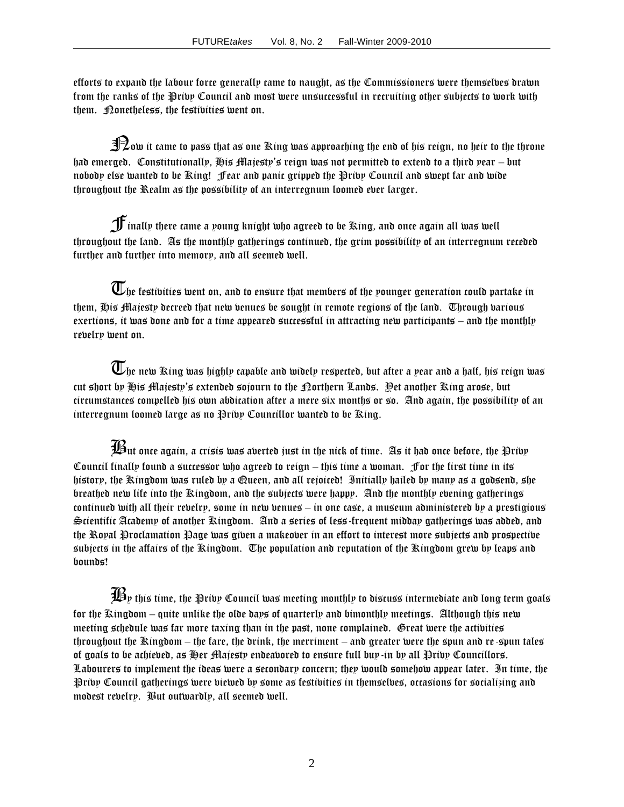efforts to expand the labour force generally came to naught, as the Commissioners were themselves drawn from the ranks of the Privy Council and most were unsuccessful in recruiting other subjects to work with them. **Donetheless**, the festivities went on.

 $\mathbf{\Re}$ ow it came to pass that as one Ring was approaching the end of his reign, no heir to the throne had emerged. Constitutionally, His Majesty's reign was not permitted to extend to a third year – but nobody else wanted to be King! Fear and panic gripped the Privy Council and swept far and wide throughout the Realm as the possibility of an interregnum loomed ever larger.

 $\mathbf f$ inally there came a young knight who agreed to be King, and once again all was well throughout the land. As the monthly gatherings continued, the grim possibility of an interregnum receded further and further into memory, and all seemed well.

 $\overline{\mathbb{U}}$ he festivities went on, and to ensure that members of the younger generation could partake in them, His Majesty decreed that new venues be sought in remote regions of the land. Through various exertions, it was done and for a time appeared successful in attracting new participants – and the monthly revelry went on.

 $\overline{\mathbb{U}}$ he new King was highly capable and widely respected, but after a year and a half, his reign was cut short by His Majesty's extended sojourn to the Northern Lands. Yet another King arose, but circumstances compelled his own abdication after a mere six months or so. And again, the possibility of an interregnum loomed large as no Privy Councillor wanted to be King.

 $\widehat{\mathcal{H}}$ ut once again, a crisis was averted just in the nick of time. As it had once before, the Privy Council finally found a successor who agreed to reign – this time a woman. For the first time in its history, the Kingdom was ruled by a Queen, and all rejoiced! Initially hailed by many as a godsend, she breathed new life into the Kingdom, and the subjects were happy. And the monthly evening gatherings continued with all their revelry, some in new venues – in one case, a museum administered by a prestigious Scientific Academy of another Kingdom. And a series of less-frequent midday gatherings was added, and the Royal Proclamation Page was given a makeover in an effort to interest more subjects and prospective subjects in the affairs of the Kingdom. The population and reputation of the Kingdom grew by leaps and bounds!

 $\mathcal{\widetilde{H}}$ y this time, the Privy Council was meeting monthly to discuss intermediate and long term goals for the Kingdom – quite unlike the olde days of quarterly and bimonthly meetings. Although this new meeting schedule was far more taxing than in the past, none complained. Great were the activities throughout the Kingdom – the fare, the drink, the merriment – and greater were the spun and re-spun tales of goals to be achieved, as Her Majesty endeavored to ensure full buy-in by all Privy Councillors. Labourers to implement the ideas were a secondary concern; they would somehow appear later. In time, the Privy Council gatherings were viewed by some as festivities in themselves, occasions for socializing and modest revelry. But outwardly, all seemed well.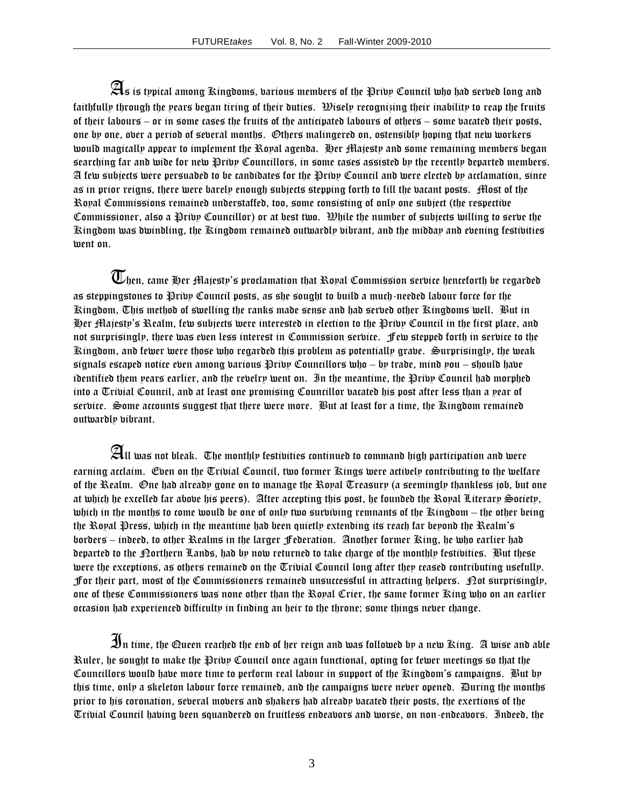$\mathfrak A$ s is typical among Kingdoms, barious members of the Priby Council who had served long and faithfully through the years began tiring of their duties. Wisely recognizing their inability to reap the fruits of their labours – or in some cases the fruits of the anticipated labours of others – some vacated their posts, one by one, over a period of several months. Others malingered on, ostensibly hoping that new workers would magically appear to implement the Royal agenda. Her Majesty and some remaining members began searching far and wide for new Privy Councillors, in some cases assisted by the recently departed members. A few subjects were persuaded to be candidates for the Privy Council and were elected by acclamation, since as in prior reigns, there were barely enough subjects stepping forth to fill the vacant posts. Most of the Royal Commissions remained understaffed, too, some consisting of only one subject (the respective Commissioner, also a Privy Councillor) or at best two. While the number of subjects willing to serve the Kingdom was dwindling, the Kingdom remained outwardly vibrant, and the midday and evening festivities went on.

 $\overline{\mathbb{U}}$ hen, came Her Majesty's proclamation that Royal Commission serbice henceforth be regarded as steppingstones to Privy Council posts, as she sought to build a much-needed labour force for the Kingdom, This method of swelling the ranks made sense and had served other Ringdoms well. But in Her Majesty's Realm, few subjects were interested in election to the Privy Council in the first place, and not surprisingly, there was even less interest in Commission service. Few stepped forth in service to the Kingdom, and fewer were those who regarded this problem as potentially grave. Surprisingly, the weak signals escaped notice even among various Privy Councillors who – by trade, mind you – should have identified them pears earlier, and the revelry went on. In the meantime, the Privy Council had morphed into a Trivial Council, and at least one promising Councillor vacated his post after less than a year of service. Some accounts suggest that there were more. But at least for a time, the Ringdom remained outwardly vibrant.

 ${\mathfrak A}_{\mathfrak l\mathfrak l}$  was not bleak. The monthly festivities continued to command high participation and were earning acclaim. Even on the Trivial Council, two former Kings were actively contributing to the welfare of the Realm. One had already gone on to manage the Royal Treasury (a seemingly thankless job, but one at which he excelled far above his peers). After accepting this post, he founded the Royal Literary Society, which in the months to come would be one of only two surviving remnants of the Kingdom – the other being the Royal Press, which in the meantime had been quietly extending its reach far beyond the Realm's borders – indeed, to other Realms in the larger Federation. Another former King, he who earlier had departed to the Porthern Lands, had by now returned to take charge of the monthly festivities. But these were the exceptions, as others remained on the Trivial Council long after they ceased contributing usefully. for their part, most of the Commissioners remained unsuccessful in attracting helpers.  $\mathcal{D}$ ot surprisingly, one of these Commissioners was none other than the Royal Crier, the same former King who on an earlier occasion had experienced difficulty in finding an heir to the throne; some things never change.

 ${\mathcal{B}}$ n time, the Queen reached the end of her reign and was followed by a new Ring. A wise and able Ruler, he sought to make the Privy Council once again functional, opting for fewer meetings so that the Councillors would have more time to perform real labour in support of the Kingdom's campaigns. But by this time, only a skeleton labour force remained, and the campaigns were never opened. During the months prior to his coronation, several movers and shakers had already vacated their posts, the exertions of the Trivial Council having been squandered on fruitless endeavors and worse, on non-endeavors. Indeed, the